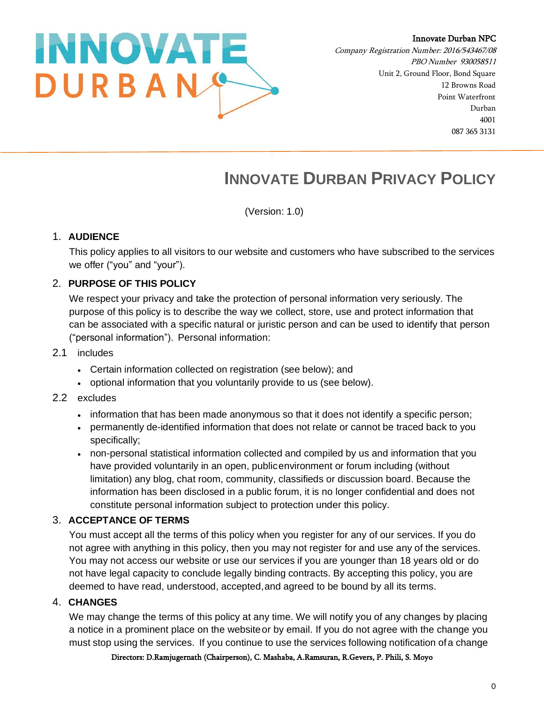

Company Registration Number: 2016/543467/08 PBO Number 930058511 Unit 2, Ground Floor, Bond Square 12 Browns Road Point Waterfront Durban 4001 087 365 3131

# **INNOVATE DURBAN PRIVACY POLICY**

(Version: 1.0)

## 1. **AUDIENCE**

This policy applies to all visitors to our website and customers who have subscribed to the services we offer ("you" and "your").

# 2. **PURPOSE OF THIS POLICY**

We respect your privacy and take the protection of personal information very seriously. The purpose of this policy is to describe the way we collect, store, use and protect information that can be associated with a specific natural or juristic person and can be used to identify that person ("personal information"). Personal information:

## 2.1 includes

- Certain information collected on registration (see below); and
- optional information that you voluntarily provide to us (see below).
- 2.2 excludes
	- information that has been made anonymous so that it does not identify a specific person;
	- permanently de-identified information that does not relate or cannot be traced back to you specifically;
	- non-personal statistical information collected and compiled by us and information that you have provided voluntarily in an open, publicenvironment or forum including (without limitation) any blog, chat room, community, classifieds or discussion board. Because the information has been disclosed in a public forum, it is no longer confidential and does not constitute personal information subject to protection under this policy.

# 3. **ACCEPTANCE OF TERMS**

You must accept all the terms of this policy when you register for any of our services. If you do not agree with anything in this policy, then you may not register for and use any of the services. You may not access our website or use our services if you are younger than 18 years old or do not have legal capacity to conclude legally binding contracts. By accepting this policy, you are deemed to have read, understood, accepted,and agreed to be bound by all its terms.

# 4. **CHANGES**

We may change the terms of this policy at any time. We will notify you of any changes by placing a notice in a prominent place on the websiteor by email. If you do not agree with the change you must stop using the services. If you continue to use the services following notification ofa change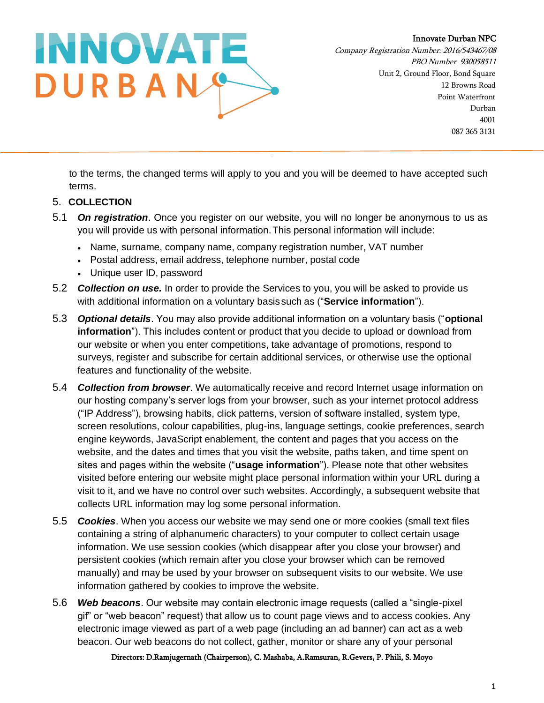

Company Registration Number: 2016/543467/08 PBO Number 930058511 Unit 2, Ground Floor, Bond Square 12 Browns Road Point Waterfront Durban 4001 087 365 3131

to the terms, the changed terms will apply to you and you will be deemed to have accepted such terms.

## 5. **COLLECTION**

- 5.1 *On registration*. Once you register on our website, you will no longer be anonymous to us as you will provide us with personal information.This personal information will include:
	- Name, surname, company name, company registration number, VAT number
	- Postal address, email address, telephone number, postal code
	- Unique user ID, password
- 5.2 *Collection on use.* In order to provide the Services to you, you will be asked to provide us with additional information on a voluntary basis such as ("**Service information**").
- 5.3 *Optional details*. You may also provide additional information on a voluntary basis ("**optional information**"). This includes content or product that you decide to upload or download from our website or when you enter competitions, take advantage of promotions, respond to surveys, register and subscribe for certain additional services, or otherwise use the optional features and functionality of the website.
- 5.4 *Collection from browser*. We automatically receive and record Internet usage information on our hosting company's server logs from your browser, such as your internet protocol address ("IP Address"), browsing habits, click patterns, version of software installed, system type, screen resolutions, colour capabilities, plug-ins, language settings, cookie preferences, search engine keywords, JavaScript enablement, the content and pages that you access on the website, and the dates and times that you visit the website, paths taken, and time spent on sites and pages within the website ("**usage information**"). Please note that other websites visited before entering our website might place personal information within your URL during a visit to it, and we have no control over such websites. Accordingly, a subsequent website that collects URL information may log some personal information.
- 5.5 *Cookies*. When you access our website we may send one or more cookies (small text files containing a string of alphanumeric characters) to your computer to collect certain usage information. We use session cookies (which disappear after you close your browser) and persistent cookies (which remain after you close your browser which can be removed manually) and may be used by your browser on subsequent visits to our website. We use information gathered by cookies to improve the website.
- 5.6 *Web beacons*. Our website may contain electronic image requests (called a "single-pixel gif" or "web beacon" request) that allow us to count page views and to access cookies. Any electronic image viewed as part of a web page (including an ad banner) can act as a web beacon. Our web beacons do not collect, gather, monitor or share any of your personal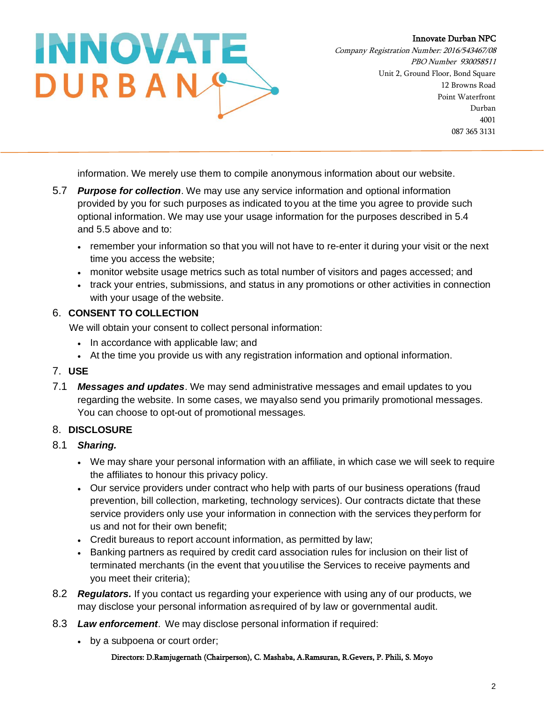

Company Registration Number: 2016/543467/08 PBO Number 930058511 Unit 2, Ground Floor, Bond Square 12 Browns Road Point Waterfront Durban 4001 087 365 3131

information. We merely use them to compile anonymous information about our website.

- 5.7 *Purpose for collection*. We may use any service information and optional information provided by you for such purposes as indicated toyou at the time you agree to provide such optional information. We may use your usage information for the purposes described in 5.4 and 5.5 above and to:
	- remember your information so that you will not have to re-enter it during your visit or the next time you access the website;
	- monitor website usage metrics such as total number of visitors and pages accessed; and
	- track your entries, submissions, and status in any promotions or other activities in connection with your usage of the website.

# 6. **CONSENT TO COLLECTION**

We will obtain your consent to collect personal information:

- In accordance with applicable law; and
- At the time you provide us with any registration information and optional information.

## 7. **USE**

7.1 *Messages and updates*. We may send administrative messages and email updates to you regarding the website. In some cases, we mayalso send you primarily promotional messages. You can choose to opt-out of promotional messages.

# 8. **DISCLOSURE**

# 8.1 *Sharing.*

- We may share your personal information with an affiliate, in which case we will seek to require the affiliates to honour this privacy policy.
- Our service providers under contract who help with parts of our business operations (fraud prevention, bill collection, marketing, technology services). Our contracts dictate that these service providers only use your information in connection with the services theyperform for us and not for their own benefit;
- Credit bureaus to report account information, as permitted by law;
- Banking partners as required by credit card association rules for inclusion on their list of terminated merchants (in the event that youutilise the Services to receive payments and you meet their criteria);
- 8.2 *Regulators.* If you contact us regarding your experience with using any of our products, we may disclose your personal information asrequired of by law or governmental audit.
- 8.3 *Law enforcement*. We may disclose personal information if required:
	- by a subpoena or court order;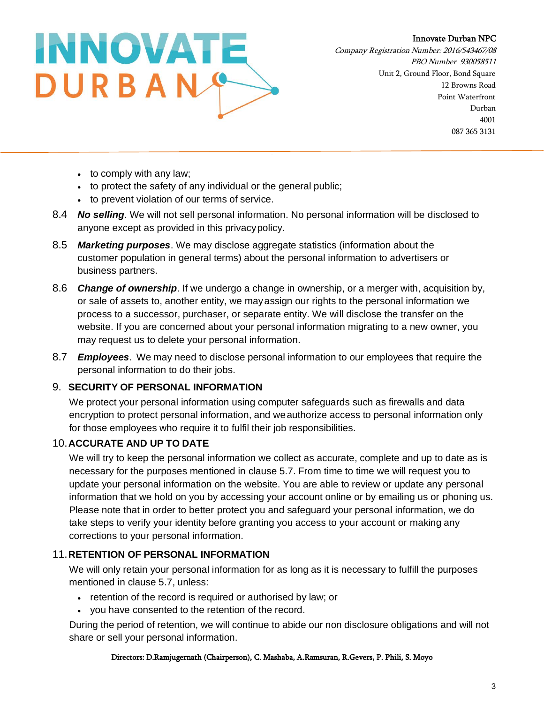

Company Registration Number: 2016/543467/08 PBO Number 930058511 Unit 2, Ground Floor, Bond Square 12 Browns Road Point Waterfront Durban 4001 087 365 3131

- to comply with any law;
- to protect the safety of any individual or the general public;
- to prevent violation of our terms of service.
- 8.4 *No selling*. We will not sell personal information. No personal information will be disclosed to anyone except as provided in this privacypolicy.
- 8.5 *Marketing purposes*. We may disclose aggregate statistics (information about the customer population in general terms) about the personal information to advertisers or business partners.
- 8.6 *Change of ownership*. If we undergo a change in ownership, or a merger with, acquisition by, or sale of assets to, another entity, we mayassign our rights to the personal information we process to a successor, purchaser, or separate entity. We will disclose the transfer on the website. If you are concerned about your personal information migrating to a new owner, you may request us to delete your personal information.
- 8.7 *Employees*. We may need to disclose personal information to our employees that require the personal information to do their jobs.

# 9. **SECURITY OF PERSONAL INFORMATION**

We protect your personal information using computer safeguards such as firewalls and data encryption to protect personal information, and weauthorize access to personal information only for those employees who require it to fulfil their job responsibilities.

# 10.**ACCURATE AND UP TO DATE**

We will try to keep the personal information we collect as accurate, complete and up to date as is necessary for the purposes mentioned in clause 5.7. From time to time we will request you to update your personal information on the website. You are able to review or update any personal information that we hold on you by accessing your account online or by emailing us or phoning us. Please note that in order to better protect you and safeguard your personal information, we do take steps to verify your identity before granting you access to your account or making any corrections to your personal information.

## 11.**RETENTION OF PERSONAL INFORMATION**

We will only retain your personal information for as long as it is necessary to fulfill the purposes mentioned in clause 5.7, unless:

- retention of the record is required or authorised by law; or
- you have consented to the retention of the record.

During the period of retention, we will continue to abide our non disclosure obligations and will not share or sell your personal information.